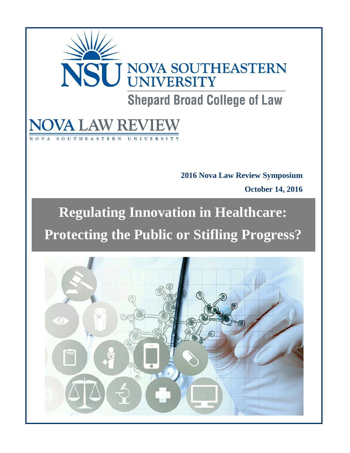# NSU NOVA SOUTHEASTERN **Shepard Broad College of Law**

# THEASTERN UNIVERSITY

**2016 Nova Law Review Symposium October 14, 2016**

# **Regulating Innovation in Healthcare: Protecting the Public or Stifling Progress?**

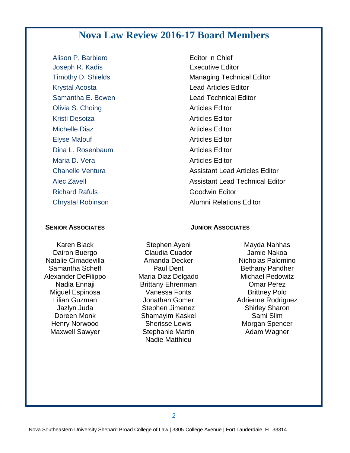# **Nova Law Review 2016-17 Board Members**

Alison P. Barbiero **Editor** in Chief **Joseph R. Kadis Executive Editor** Krystal Acosta **Lead Articles Editor** Samantha E. Bowen **Lead Technical Editor Olivia S. Choing Changes Articles Editor** Articles Editor Kristi Desoiza **Articles Editor** Articles Editor Michelle Diaz **Articles Editor** Articles Editor Elyse Malouf **Articles Editor Articles Editor Dina L. Rosenbaum Articles Editor** Maria D. Vera **Articles Editor** Articles Editor Richard Rafuls **Goodwin** Editor Chrystal Robinson **Alumni Relations Editor** 

# Timothy D. Shields Managing Technical Editor Chanelle Ventura **Assistant Lead Articles Editor** Alec Zavell Assistant Lead Technical Editor

#### **SENIOR ASSOCIATES JUNIOR ASSOCIATES**

Karen Black Dairon Buergo Natalie Cimadevilla Samantha Scheff Alexander DeFilippo Nadia Ennaji Miguel Espinosa Lilian Guzman Jazlyn Juda Doreen Monk Henry Norwood Maxwell Sawyer

Stephen Ayeni Claudia Cuador Amanda Decker Paul Dent Maria Diaz Delgado Brittany Ehrenman Vanessa Fonts Jonathan Gomer Stephen Jimenez Shamayim Kaskel Sherisse Lewis Stephanie Martin Nadie Matthieu

Mayda Nahhas Jamie Nakoa Nicholas Palomino Bethany Pandher Michael Pedowitz Omar Perez Brittney Polo Adrienne Rodriguez Shirley Sharon Sami Slim Morgan Spencer Adam Wagner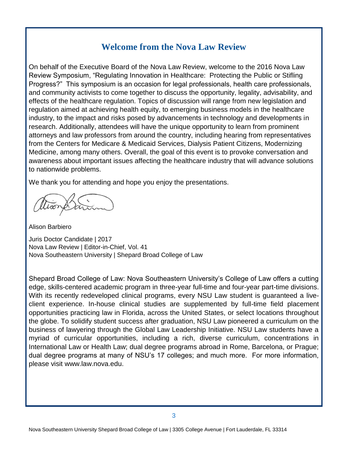#### **Welcome from the Nova Law Review**

On behalf of the Executive Board of the Nova Law Review, welcome to the 2016 Nova Law Review Symposium, "Regulating Innovation in Healthcare: Protecting the Public or Stifling Progress?" This symposium is an occasion for legal professionals, health care professionals, and community activists to come together to discuss the opportunity, legality, advisability, and effects of the healthcare regulation. Topics of discussion will range from new legislation and regulation aimed at achieving health equity, to emerging business models in the healthcare industry, to the impact and risks posed by advancements in technology and developments in research. Additionally, attendees will have the unique opportunity to learn from prominent attorneys and law professors from around the country, including hearing from representatives from the Centers for Medicare & Medicaid Services, Dialysis Patient Citizens, Modernizing Medicine, among many others. Overall, the goal of this event is to provoke conversation and awareness about important issues affecting the healthcare industry that will advance solutions to nationwide problems.

We thank you for attending and hope you enjoy the presentations.

Alison Barbiero

Juris Doctor Candidate | 2017 Nova Law Review | Editor-in-Chief, Vol. 41 Nova Southeastern University | Shepard Broad College of Law

Shepard Broad College of Law: Nova Southeastern University's College of Law offers a cutting edge, skills-centered academic program in three-year full-time and four-year part-time divisions. With its recently redeveloped clinical programs, every NSU Law student is guaranteed a liveclient experience. In-house clinical studies are supplemented by full-time field placement opportunities practicing law in Florida, across the United States, or select locations throughout the globe. To solidify student success after graduation, NSU Law pioneered a curriculum on the business of lawyering through the Global Law Leadership Initiative. NSU Law students have a myriad of curricular opportunities, including a rich, diverse curriculum, concentrations in International Law or Health Law; dual degree programs abroad in Rome, Barcelona, or Prague; dual degree programs at many of NSU's 17 colleges; and much more. For more information, please visit www.law.nova.edu.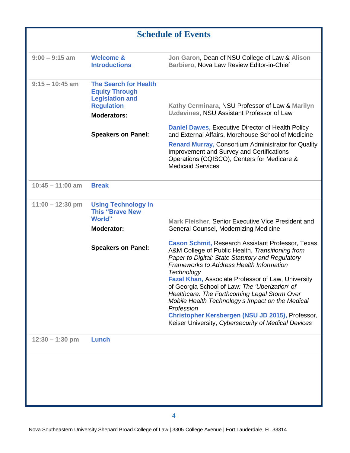| <b>Schedule of Events</b> |                                                                                                                            |                                                                                                                                                                                                                                                                                                                                                                                                                                                                                                                                                                               |  |
|---------------------------|----------------------------------------------------------------------------------------------------------------------------|-------------------------------------------------------------------------------------------------------------------------------------------------------------------------------------------------------------------------------------------------------------------------------------------------------------------------------------------------------------------------------------------------------------------------------------------------------------------------------------------------------------------------------------------------------------------------------|--|
| $9:00 - 9:15$ am          | <b>Welcome &amp;</b><br><b>Introductions</b>                                                                               | Jon Garon, Dean of NSU College of Law & Alison<br>Barbiero, Nova Law Review Editor-in-Chief                                                                                                                                                                                                                                                                                                                                                                                                                                                                                   |  |
| $9:15 - 10:45$ am         | <b>The Search for Health</b><br><b>Equity Through</b><br><b>Legislation and</b><br><b>Regulation</b><br><b>Moderators:</b> | Kathy Cerminara, NSU Professor of Law & Marilyn<br>Uzdavines, NSU Assistant Professor of Law                                                                                                                                                                                                                                                                                                                                                                                                                                                                                  |  |
|                           | <b>Speakers on Panel:</b>                                                                                                  | <b>Daniel Dawes, Executive Director of Health Policy</b><br>and External Affairs, Morehouse School of Medicine<br><b>Renard Murray, Consortium Administrator for Quality</b><br><b>Improvement and Survey and Certifications</b><br>Operations (CQISCO), Centers for Medicare &<br><b>Medicaid Services</b>                                                                                                                                                                                                                                                                   |  |
| $10:45 - 11:00$ am        | <b>Break</b>                                                                                                               |                                                                                                                                                                                                                                                                                                                                                                                                                                                                                                                                                                               |  |
| $11:00 - 12:30$ pm        | <b>Using Technology in</b><br><b>This "Brave New</b><br><b>World</b> "<br><b>Moderator:</b>                                | Mark Fleisher, Senior Executive Vice President and<br>General Counsel, Modernizing Medicine                                                                                                                                                                                                                                                                                                                                                                                                                                                                                   |  |
|                           | <b>Speakers on Panel:</b>                                                                                                  | <b>Cason Schmit, Research Assistant Professor, Texas</b><br>A&M College of Public Health, Transitioning from<br>Paper to Digital: State Statutory and Regulatory<br><b>Frameworks to Address Health Information</b><br>Technology<br><b>Fazal Khan, Associate Professor of Law, University</b><br>of Georgia School of Law: The 'Uberization' of<br>Healthcare: The Forthcoming Legal Storm Over<br>Mobile Health Technology's Impact on the Medical<br>Profession<br>Christopher Kersbergen (NSU JD 2015), Professor,<br>Keiser University, Cybersecurity of Medical Devices |  |
| $12:30 - 1:30$ pm         | Lunch                                                                                                                      |                                                                                                                                                                                                                                                                                                                                                                                                                                                                                                                                                                               |  |
|                           |                                                                                                                            |                                                                                                                                                                                                                                                                                                                                                                                                                                                                                                                                                                               |  |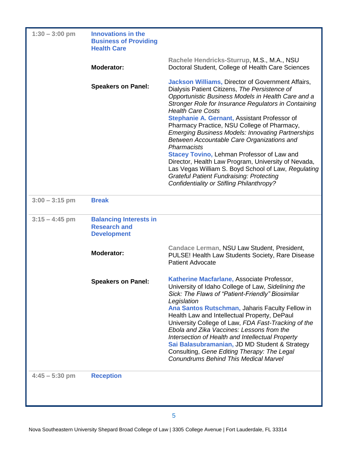| $1:30 - 3:00$ pm | <b>Innovations in the</b><br><b>Business of Providing</b><br><b>Health Care</b> |                                                                                                                                                                                                                                                                                                                                                                                                                                                                                                                                                                                                                                                                                                                                                |
|------------------|---------------------------------------------------------------------------------|------------------------------------------------------------------------------------------------------------------------------------------------------------------------------------------------------------------------------------------------------------------------------------------------------------------------------------------------------------------------------------------------------------------------------------------------------------------------------------------------------------------------------------------------------------------------------------------------------------------------------------------------------------------------------------------------------------------------------------------------|
|                  | <b>Moderator:</b>                                                               | Rachele Hendricks-Sturrup, M.S., M.A., NSU<br>Doctoral Student, College of Health Care Sciences                                                                                                                                                                                                                                                                                                                                                                                                                                                                                                                                                                                                                                                |
|                  | <b>Speakers on Panel:</b>                                                       | <b>Jackson Williams, Director of Government Affairs,</b><br>Dialysis Patient Citizens, The Persistence of<br>Opportunistic Business Models in Health Care and a<br>Stronger Role for Insurance Regulators in Containing<br><b>Health Care Costs</b><br>Stephanie A. Gernant, Assistant Professor of<br>Pharmacy Practice, NSU College of Pharmacy,<br><b>Emerging Business Models: Innovating Partnerships</b><br>Between Accountable Care Organizations and<br>Pharmacists<br><b>Stacey Tovino, Lehman Professor of Law and</b><br>Director, Health Law Program, University of Nevada,<br>Las Vegas William S. Boyd School of Law, Regulating<br><b>Grateful Patient Fundraising: Protecting</b><br>Confidentiality or Stifling Philanthropy? |
| $3:00 - 3:15$ pm | <b>Break</b>                                                                    |                                                                                                                                                                                                                                                                                                                                                                                                                                                                                                                                                                                                                                                                                                                                                |
| $3:15 - 4:45$ pm | <b>Balancing Interests in</b><br><b>Research and</b><br><b>Development</b>      |                                                                                                                                                                                                                                                                                                                                                                                                                                                                                                                                                                                                                                                                                                                                                |
|                  | <b>Moderator:</b>                                                               | Candace Lerman, NSU Law Student, President,<br>PULSE! Health Law Students Society, Rare Disease<br><b>Patient Advocate</b>                                                                                                                                                                                                                                                                                                                                                                                                                                                                                                                                                                                                                     |
|                  | <b>Speakers on Panel:</b>                                                       | Katherine Macfarlane, Associate Professor,<br>University of Idaho College of Law, Sidelining the<br>Sick: The Flaws of "Patient-Friendly" Biosimilar<br>Legislation<br>Ana Santos Rutschman, Jaharis Faculty Fellow in<br>Health Law and Intellectual Property, DePaul<br>University College of Law, FDA Fast-Tracking of the<br>Ebola and Zika Vaccines: Lessons from the<br>Intersection of Health and Intellectual Property<br>Sai Balasubramanian, JD MD Student & Strategy<br>Consulting, Gene Editing Therapy: The Legal<br><b>Conundrums Behind This Medical Marvel</b>                                                                                                                                                                 |
| $4:45 - 5:30$ pm | <b>Reception</b>                                                                |                                                                                                                                                                                                                                                                                                                                                                                                                                                                                                                                                                                                                                                                                                                                                |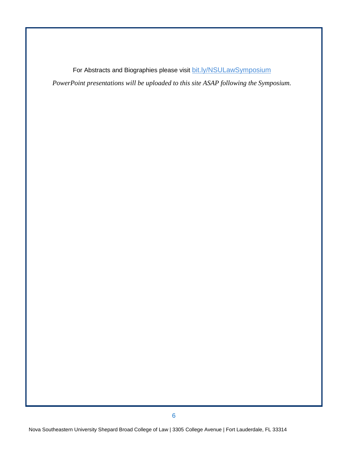For Abstracts and Biographies please visit [bit.ly/NSULawSymposium](file://fldvp-fslaw01.ad.nova.edu/jawo$/Symposia/2015%20Law%20Review%20Symposium%20Bus/Marketing/bit.ly/NSULawSymposium) *PowerPoint presentations will be uploaded to this site ASAP following the Symposium.*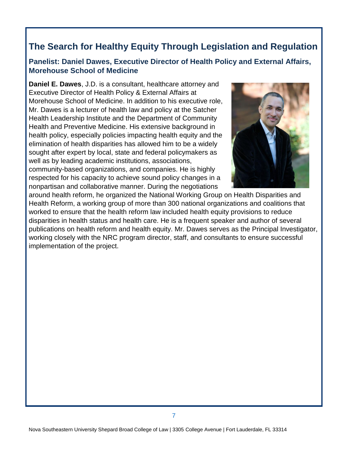#### **Panelist: Daniel Dawes, Executive Director of Health Policy and External Affairs, Morehouse School of Medicine**

**Daniel E. Dawes**, J.D. is a consultant, healthcare attorney and Executive Director of Health Policy & External Affairs at Morehouse School of Medicine. In addition to his executive role, Mr. Dawes is a lecturer of health law and policy at the Satcher Health Leadership Institute and the Department of Community Health and Preventive Medicine. His extensive background in health policy, especially policies impacting health equity and the elimination of health disparities has allowed him to be a widely sought after expert by local, state and federal policymakers as well as by leading academic institutions, associations, community-based organizations, and companies. He is highly respected for his capacity to achieve sound policy changes in a nonpartisan and collaborative manner. During the negotiations



around health reform, he organized the National Working Group on Health Disparities and Health Reform, a working group of more than 300 national organizations and coalitions that worked to ensure that the health reform law included health equity provisions to reduce disparities in health status and health care. He is a frequent speaker and author of several publications on health reform and health equity. Mr. Dawes serves as the Principal Investigator, working closely with the NRC program director, staff, and consultants to ensure successful implementation of the project.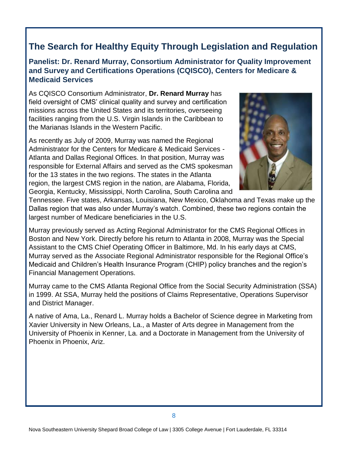#### **Panelist: Dr. Renard Murray, Consortium Administrator for Quality Improvement and Survey and Certifications Operations (CQISCO), Centers for Medicare & Medicaid Services**

As CQISCO Consortium Administrator, **Dr. Renard Murray** has field oversight of CMS' clinical quality and survey and certification missions across the United States and its territories, overseeing facilities ranging from the U.S. Virgin Islands in the Caribbean to the Marianas Islands in the Western Pacific.

As recently as July of 2009, Murray was named the Regional Administrator for the Centers for Medicare & Medicaid Services - Atlanta and Dallas Regional Offices. In that position, Murray was responsible for External Affairs and served as the CMS spokesman for the 13 states in the two regions. The states in the Atlanta region, the largest CMS region in the nation, are Alabama, Florida, Georgia, Kentucky, Mississippi, North Carolina, South Carolina and



Tennessee. Five states, Arkansas, Louisiana, New Mexico, Oklahoma and Texas make up the Dallas region that was also under Murray's watch. Combined, these two regions contain the largest number of Medicare beneficiaries in the U.S.

Murray previously served as Acting Regional Administrator for the CMS Regional Offices in Boston and New York. Directly before his return to Atlanta in 2008, Murray was the Special Assistant to the CMS Chief Operating Officer in Baltimore, Md. In his early days at CMS, Murray served as the Associate Regional Administrator responsible for the Regional Office's Medicaid and Children's Health Insurance Program (CHIP) policy branches and the region's Financial Management Operations.

Murray came to the CMS Atlanta Regional Office from the Social Security Administration (SSA) in 1999. At SSA, Murray held the positions of Claims Representative, Operations Supervisor and District Manager.

A native of Ama, La., Renard L. Murray holds a Bachelor of Science degree in Marketing from Xavier University in New Orleans, La., a Master of Arts degree in Management from the University of Phoenix in Kenner, La. and a Doctorate in Management from the University of Phoenix in Phoenix, Ariz.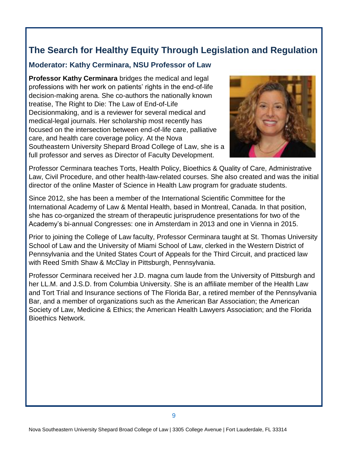#### **Moderator: Kathy Cerminara, NSU Professor of Law**

**Professor Kathy Cerminara** bridges the medical and legal professions with her work on patients' rights in the end-of-life decision-making arena. She co-authors the nationally known treatise, The Right to Die: The Law of End-of-Life Decisionmaking, and is a reviewer for several medical and medical-legal journals. Her scholarship most recently has focused on the intersection between end-of-life care, palliative care, and health care coverage policy. At the Nova Southeastern University Shepard Broad College of Law, she is a full professor and serves as Director of Faculty Development.



Professor Cerminara teaches Torts, Health Policy, Bioethics & Quality of Care, Administrative Law, Civil Procedure, and other health-law-related courses. She also created and was the initial director of the online Master of Science in Health Law program for graduate students.

Since 2012, she has been a member of the International Scientific Committee for the International Academy of Law & Mental Health, based in Montreal, Canada. In that position, she has co-organized the stream of therapeutic jurisprudence presentations for two of the Academy's bi-annual Congresses: one in Amsterdam in 2013 and one in Vienna in 2015.

Prior to joining the College of Law faculty, Professor Cerminara taught at St. Thomas University School of Law and the University of Miami School of Law, clerked in the Western District of Pennsylvania and the United States Court of Appeals for the Third Circuit, and practiced law with Reed Smith Shaw & McClay in Pittsburgh, Pennsylvania.

Professor Cerminara received her J.D. magna cum laude from the University of Pittsburgh and her LL.M. and J.S.D. from Columbia University. She is an affiliate member of the Health Law and Tort Trial and Insurance sections of The Florida Bar, a retired member of the Pennsylvania Bar, and a member of organizations such as the American Bar Association; the American Society of Law, Medicine & Ethics; the American Health Lawyers Association; and the Florida Bioethics Network.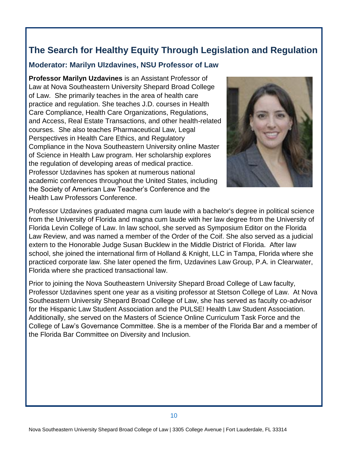#### **Moderator: Marilyn UIzdavines, NSU Professor of Law**

**Professor Marilyn Uzdavines** is an Assistant Professor of Law at Nova Southeastern University Shepard Broad College of Law. She primarily teaches in the area of health care practice and regulation. She teaches J.D. courses in Health Care Compliance, Health Care Organizations, Regulations, and Access, Real Estate Transactions, and other health-related courses. She also teaches Pharmaceutical Law, Legal Perspectives in Health Care Ethics, and Regulatory Compliance in the Nova Southeastern University online Master of Science in Health Law program. Her scholarship explores the regulation of developing areas of medical practice. Professor Uzdavines has spoken at numerous national academic conferences throughout the United States, including the Society of American Law Teacher's Conference and the Health Law Professors Conference.



Professor Uzdavines graduated magna cum laude with a bachelor's degree in political science from the University of Florida and magna cum laude with her law degree from the University of Florida Levin College of Law. In law school, she served as Symposium Editor on the Florida Law Review, and was named a member of the Order of the Coif. She also served as a judicial extern to the Honorable Judge Susan Bucklew in the Middle District of Florida. After law school, she joined the international firm of Holland & Knight, LLC in Tampa, Florida where she practiced corporate law. She later opened the firm, Uzdavines Law Group, P.A. in Clearwater, Florida where she practiced transactional law.

Prior to joining the Nova Southeastern University Shepard Broad College of Law faculty, Professor Uzdavines spent one year as a visiting professor at Stetson College of Law. At Nova Southeastern University Shepard Broad College of Law, she has served as faculty co-advisor for the Hispanic Law Student Association and the PULSE! Health Law Student Association. Additionally, she served on the Masters of Science Online Curriculum Task Force and the College of Law's Governance Committee. She is a member of the Florida Bar and a member of the Florida Bar Committee on Diversity and Inclusion.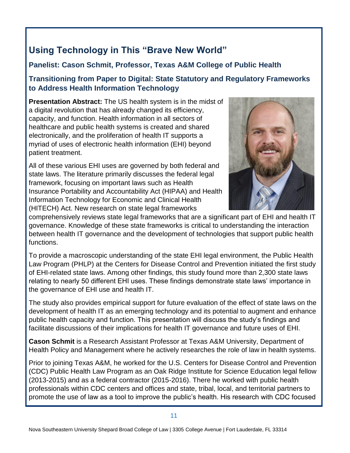# **Using Technology in This "Brave New World"**

#### **Panelist: Cason Schmit, Professor, Texas A&M College of Public Health**

#### **Transitioning from Paper to Digital: State Statutory and Regulatory Frameworks to Address Health Information Technology**

**Presentation Abstract:** The US health system is in the midst of a digital revolution that has already changed its efficiency, capacity, and function. Health information in all sectors of healthcare and public health systems is created and shared electronically, and the proliferation of health IT supports a myriad of uses of electronic health information (EHI) beyond patient treatment.

All of these various EHI uses are governed by both federal and state laws. The literature primarily discusses the federal legal framework, focusing on important laws such as Health Insurance Portability and Accountability Act (HIPAA) and Health Information Technology for Economic and Clinical Health (HITECH) Act. New research on state legal frameworks



comprehensively reviews state legal frameworks that are a significant part of EHI and health IT governance. Knowledge of these state frameworks is critical to understanding the interaction between health IT governance and the development of technologies that support public health functions.

To provide a macroscopic understanding of the state EHI legal environment, the Public Health Law Program (PHLP) at the Centers for Disease Control and Prevention initiated the first study of EHI-related state laws. Among other findings, this study found more than 2,300 state laws relating to nearly 50 different EHI uses. These findings demonstrate state laws' importance in the governance of EHI use and health IT.

The study also provides empirical support for future evaluation of the effect of state laws on the development of health IT as an emerging technology and its potential to augment and enhance public health capacity and function. This presentation will discuss the study's findings and facilitate discussions of their implications for health IT governance and future uses of EHI.

**Cason Schmit** is a Research Assistant Professor at Texas A&M University, Department of Health Policy and Management where he actively researches the role of law in health systems.

Prior to joining Texas A&M, he worked for the U.S. Centers for Disease Control and Prevention (CDC) Public Health Law Program as an Oak Ridge Institute for Science Education legal fellow (2013-2015) and as a federal contractor (2015-2016). There he worked with public health professionals within CDC centers and offices and state, tribal, local, and territorial partners to promote the use of law as a tool to improve the public's health. His research with CDC focused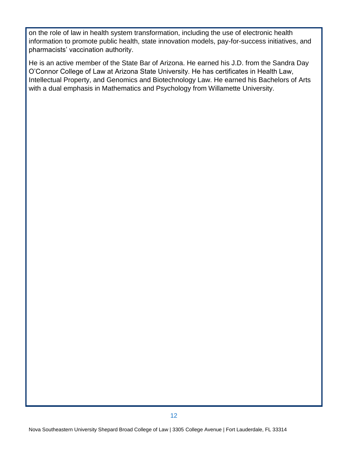on the role of law in health system transformation, including the use of electronic health information to promote public health, state innovation models, pay-for-success initiatives, and pharmacists' vaccination authority.

He is an active member of the State Bar of Arizona. He earned his J.D. from the Sandra Day O'Connor College of Law at Arizona State University. He has certificates in Health Law, Intellectual Property, and Genomics and Biotechnology Law. He earned his Bachelors of Arts with a dual emphasis in Mathematics and Psychology from Willamette University.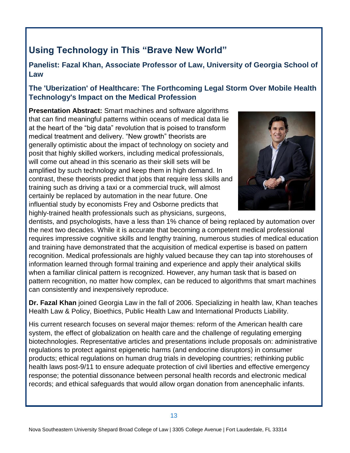# **Using Technology in This "Brave New World"**

**Panelist: Fazal Khan, Associate Professor of Law, University of Georgia School of Law**

#### **The 'Uberization' of Healthcare: The Forthcoming Legal Storm Over Mobile Health Technology's Impact on the Medical Profession**

**Presentation Abstract:** Smart machines and software algorithms that can find meaningful patterns within oceans of medical data lie at the heart of the "big data" revolution that is poised to transform medical treatment and delivery. "New growth" theorists are generally optimistic about the impact of technology on society and posit that highly skilled workers, including medical professionals, will come out ahead in this scenario as their skill sets will be amplified by such technology and keep them in high demand. In contrast, these theorists predict that jobs that require less skills and training such as driving a taxi or a commercial truck, will almost certainly be replaced by automation in the near future. One influential study by economists Frey and Osborne predicts that highly-trained health professionals such as physicians, surgeons,



dentists, and psychologists, have a less than 1% chance of being replaced by automation over the next two decades. While it is accurate that becoming a competent medical professional requires impressive cognitive skills and lengthy training, numerous studies of medical education and training have demonstrated that the acquisition of medical expertise is based on pattern recognition. Medical professionals are highly valued because they can tap into storehouses of information learned through formal training and experience and apply their analytical skills when a familiar clinical pattern is recognized. However, any human task that is based on pattern recognition, no matter how complex, can be reduced to algorithms that smart machines can consistently and inexpensively reproduce.

**Dr. Fazal Khan** joined Georgia Law in the fall of 2006. Specializing in health law, Khan teaches Health Law & Policy, Bioethics, Public Health Law and International Products Liability.

His current research focuses on several major themes: reform of the American health care system, the effect of globalization on health care and the challenge of regulating emerging biotechnologies. Representative articles and presentations include proposals on: administrative regulations to protect against epigenetic harms (and endocrine disruptors) in consumer products; ethical regulations on human drug trials in developing countries; rethinking public health laws post-9/11 to ensure adequate protection of civil liberties and effective emergency response; the potential dissonance between personal health records and electronic medical records; and ethical safeguards that would allow organ donation from anencephalic infants.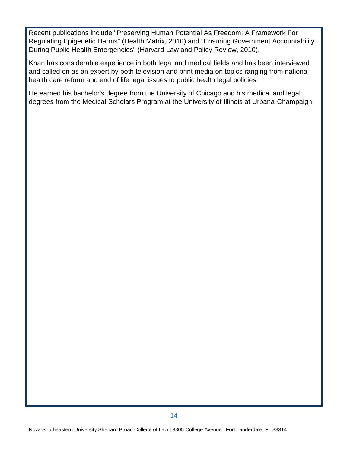Recent publications include "Preserving Human Potential As Freedom: A Framework For Regulating Epigenetic Harms" (Health Matrix, 2010) and "Ensuring Government Accountability During Public Health Emergencies" (Harvard Law and Policy Review, 2010).

Khan has considerable experience in both legal and medical fields and has been interviewed and called on as an expert by both television and print media on topics ranging from national health care reform and end of life legal issues to public health legal policies.

He earned his bachelor's degree from the University of Chicago and his medical and legal degrees from the Medical Scholars Program at the University of Illinois at Urbana-Champaign.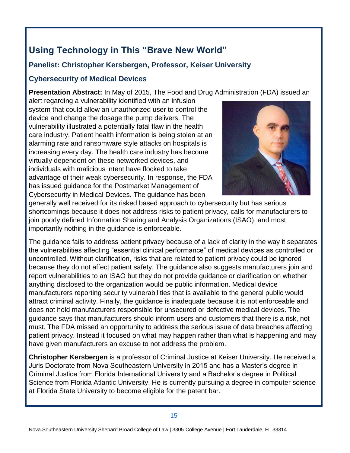# **Using Technology in This "Brave New World"**

#### **Panelist: Christopher Kersbergen, Professor, Keiser University**

#### **Cybersecurity of Medical Devices**

**Presentation Abstract:** In May of 2015, The Food and Drug Administration (FDA) issued an

alert regarding a vulnerability identified with an infusion system that could allow an unauthorized user to control the device and change the dosage the pump delivers. The vulnerability illustrated a potentially fatal flaw in the health care industry. Patient health information is being stolen at an alarming rate and ransomware style attacks on hospitals is increasing every day. The health care industry has become virtually dependent on these networked devices, and individuals with malicious intent have flocked to take advantage of their weak cybersecurity. In response, the FDA has issued guidance for the Postmarket Management of Cybersecurity in Medical Devices. The guidance has been



generally well received for its risked based approach to cybersecurity but has serious shortcomings because it does not address risks to patient privacy, calls for manufacturers to join poorly defined Information Sharing and Analysis Organizations (ISAO), and most importantly nothing in the guidance is enforceable.

The guidance fails to address patient privacy because of a lack of clarity in the way it separates the vulnerabilities affecting "essential clinical performance" of medical devices as controlled or uncontrolled. Without clarification, risks that are related to patient privacy could be ignored because they do not affect patient safety. The guidance also suggests manufacturers join and report vulnerabilities to an ISAO but they do not provide guidance or clarification on whether anything disclosed to the organization would be public information. Medical device manufacturers reporting security vulnerabilities that is available to the general public would attract criminal activity. Finally, the guidance is inadequate because it is not enforceable and does not hold manufacturers responsible for unsecured or defective medical devices. The guidance says that manufacturers should inform users and customers that there is a risk, not must. The FDA missed an opportunity to address the serious issue of data breaches affecting patient privacy. Instead it focused on what may happen rather than what is happening and may have given manufacturers an excuse to not address the problem.

**Christopher Kersbergen** is a professor of Criminal Justice at Keiser University. He received a Juris Doctorate from Nova Southeastern University in 2015 and has a Master's degree in Criminal Justice from Florida International University and a Bachelor's degree in Political Science from Florida Atlantic University. He is currently pursuing a degree in computer science at Florida State University to become eligible for the patent bar.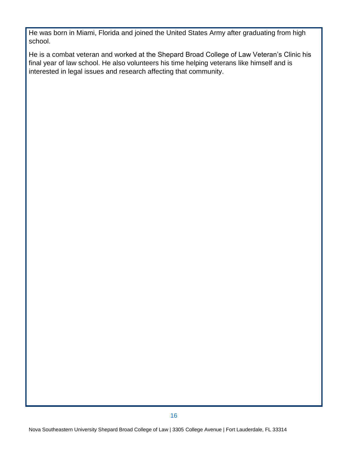He was born in Miami, Florida and joined the United States Army after graduating from high school.

He is a combat veteran and worked at the Shepard Broad College of Law Veteran's Clinic his final year of law school. He also volunteers his time helping veterans like himself and is interested in legal issues and research affecting that community.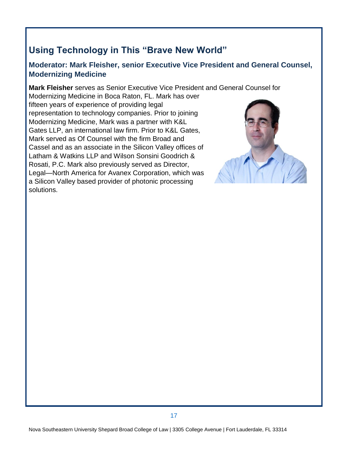# **Using Technology in This "Brave New World"**

#### **Moderator: Mark Fleisher, senior Executive Vice President and General Counsel, Modernizing Medicine**

**Mark Fleisher** serves as Senior Executive Vice President and General Counsel for

Modernizing Medicine in Boca Raton, FL. Mark has over fifteen years of experience of providing legal representation to technology companies. Prior to joining Modernizing Medicine, Mark was a partner with K&L Gates LLP, an international law firm. Prior to K&L Gates, Mark served as Of Counsel with the firm Broad and Cassel and as an associate in the Silicon Valley offices of Latham & Watkins LLP and Wilson Sonsini Goodrich & Rosati, P.C. Mark also previously served as Director, Legal—North America for Avanex Corporation, which was a Silicon Valley based provider of photonic processing solutions.

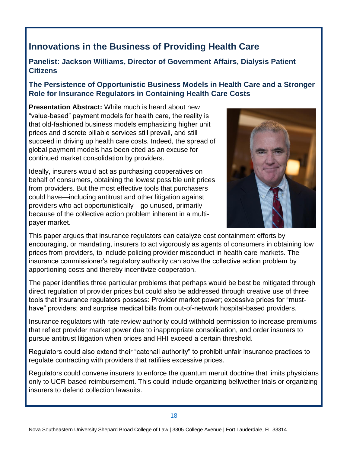# **Innovations in the Business of Providing Health Care**

#### **Panelist: Jackson Williams, Director of Government Affairs, Dialysis Patient Citizens**

#### **The Persistence of Opportunistic Business Models in Health Care and a Stronger Role for Insurance Regulators in Containing Health Care Costs**

**Presentation Abstract:** While much is heard about new "value-based" payment models for health care, the reality is that old-fashioned business models emphasizing higher unit prices and discrete billable services still prevail, and still succeed in driving up health care costs. Indeed, the spread of global payment models has been cited as an excuse for continued market consolidation by providers.

Ideally, insurers would act as purchasing cooperatives on behalf of consumers, obtaining the lowest possible unit prices from providers. But the most effective tools that purchasers could have—including antitrust and other litigation against providers who act opportunistically—go unused, primarily because of the collective action problem inherent in a multipayer market.



This paper argues that insurance regulators can catalyze cost containment efforts by encouraging, or mandating, insurers to act vigorously as agents of consumers in obtaining low prices from providers, to include policing provider misconduct in health care markets. The insurance commissioner's regulatory authority can solve the collective action problem by apportioning costs and thereby incentivize cooperation.

The paper identifies three particular problems that perhaps would be best be mitigated through direct regulation of provider prices but could also be addressed through creative use of three tools that insurance regulators possess: Provider market power; excessive prices for "musthave" providers; and surprise medical bills from out-of-network hospital-based providers.

Insurance regulators with rate review authority could withhold permission to increase premiums that reflect provider market power due to inappropriate consolidation, and order insurers to pursue antitrust litigation when prices and HHI exceed a certain threshold.

Regulators could also extend their "catchall authority" to prohibit unfair insurance practices to regulate contracting with providers that ratifiies excessive prices.

Regulators could convene insurers to enforce the quantum meruit doctrine that limits physicians only to UCR-based reimbursement. This could include organizing bellwether trials or organizing insurers to defend collection lawsuits.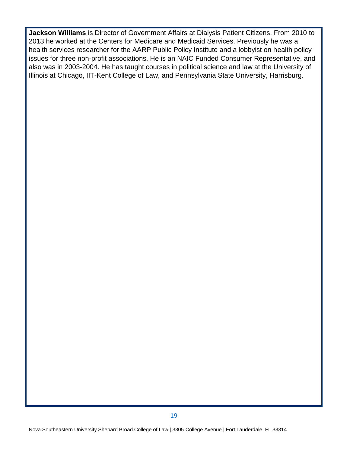**Jackson Williams** is Director of Government Affairs at Dialysis Patient Citizens. From 2010 to 2013 he worked at the Centers for Medicare and Medicaid Services. Previously he was a health services researcher for the AARP Public Policy Institute and a lobbyist on health policy issues for three non-profit associations. He is an NAIC Funded Consumer Representative, and also was in 2003-2004. He has taught courses in political science and law at the University of Illinois at Chicago, IIT-Kent College of Law, and Pennsylvania State University, Harrisburg.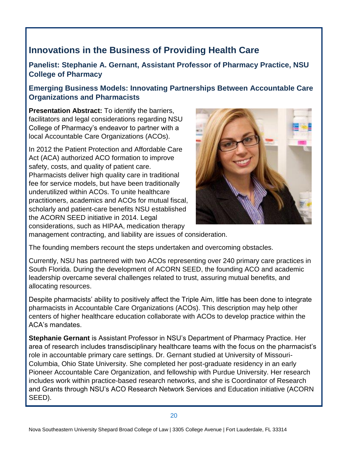# **Innovations in the Business of Providing Health Care**

**Panelist: Stephanie A. Gernant, Assistant Professor of Pharmacy Practice, NSU College of Pharmacy**

#### **Emerging Business Models: Innovating Partnerships Between Accountable Care Organizations and Pharmacists**

**Presentation Abstract:** To identify the barriers, facilitators and legal considerations regarding NSU College of Pharmacy's endeavor to partner with a local Accountable Care Organizations (ACOs).

In 2012 the Patient Protection and Affordable Care Act (ACA) authorized ACO formation to improve safety, costs, and quality of patient care. Pharmacists deliver high quality care in traditional fee for service models, but have been traditionally underutilized within ACOs. To unite healthcare practitioners, academics and ACOs for mutual fiscal, scholarly and patient-care benefits NSU established the ACORN SEED initiative in 2014. Legal considerations, such as HIPAA, medication therapy



management contracting, and liability are issues of consideration.

The founding members recount the steps undertaken and overcoming obstacles.

Currently, NSU has partnered with two ACOs representing over 240 primary care practices in South Florida. During the development of ACORN SEED, the founding ACO and academic leadership overcame several challenges related to trust, assuring mutual benefits, and allocating resources.

Despite pharmacists' ability to positively affect the Triple Aim, little has been done to integrate pharmacists in Accountable Care Organizations (ACOs). This description may help other centers of higher healthcare education collaborate with ACOs to develop practice within the ACA's mandates.

**Stephanie Gernant** is Assistant Professor in NSU's Department of Pharmacy Practice. Her area of research includes transdisciplinary healthcare teams with the focus on the pharmacist's role in accountable primary care settings. Dr. Gernant studied at University of Missouri-Columbia, Ohio State University. She completed her post-graduate residency in an early Pioneer Accountable Care Organization, and fellowship with Purdue University. Her research includes work within practice-based research networks, and she is Coordinator of Research and Grants through NSU's ACO Research Network Services and Education initiative (ACORN SEED).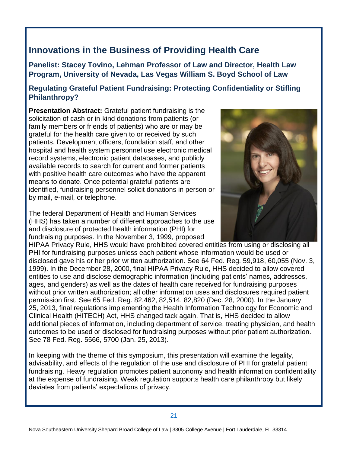# **Innovations in the Business of Providing Health Care**

**Panelist: Stacey Tovino, Lehman Professor of Law and Director, Health Law Program, University of Nevada, Las Vegas William S. Boyd School of Law**

#### **Regulating Grateful Patient Fundraising: Protecting Confidentiality or Stifling Philanthropy?**

**Presentation Abstract:** Grateful patient fundraising is the solicitation of cash or in-kind donations from patients (or family members or friends of patients) who are or may be grateful for the health care given to or received by such patients. Development officers, foundation staff, and other hospital and health system personnel use electronic medical record systems, electronic patient databases, and publicly available records to search for current and former patients with positive health care outcomes who have the apparent means to donate. Once potential grateful patients are identified, fundraising personnel solicit donations in person or by mail, e-mail, or telephone.

The federal Department of Health and Human Services (HHS) has taken a number of different approaches to the use and disclosure of protected health information (PHI) for fundraising purposes. In the November 3, 1999, proposed



HIPAA Privacy Rule, HHS would have prohibited covered entities from using or disclosing all PHI for fundraising purposes unless each patient whose information would be used or disclosed gave his or her prior written authorization. See 64 Fed. Reg. 59,918, 60,055 (Nov. 3, 1999). In the December 28, 2000, final HIPAA Privacy Rule, HHS decided to allow covered entities to use and disclose demographic information (including patients' names, addresses, ages, and genders) as well as the dates of health care received for fundraising purposes without prior written authorization; all other information uses and disclosures required patient permission first. See 65 Fed. Reg. 82,462, 82,514, 82,820 (Dec. 28, 2000). In the January 25, 2013, final regulations implementing the Health Information Technology for Economic and Clinical Health (HITECH) Act, HHS changed tack again. That is, HHS decided to allow additional pieces of information, including department of service, treating physician, and health outcomes to be used or disclosed for fundraising purposes without prior patient authorization. See 78 Fed. Reg. 5566, 5700 (Jan. 25, 2013).

In keeping with the theme of this symposium, this presentation will examine the legality, advisability, and effects of the regulation of the use and disclosure of PHI for grateful patient fundraising. Heavy regulation promotes patient autonomy and health information confidentiality at the expense of fundraising. Weak regulation supports health care philanthropy but likely deviates from patients' expectations of privacy.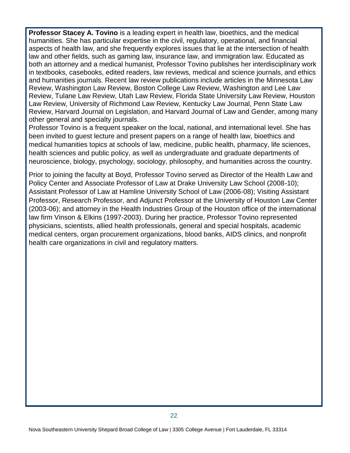**Professor Stacey A. Tovino** is a leading expert in health law, bioethics, and the medical humanities. She has particular expertise in the civil, regulatory, operational, and financial aspects of health law, and she frequently explores issues that lie at the intersection of health law and other fields, such as gaming law, insurance law, and immigration law. Educated as both an attorney and a medical humanist, Professor Tovino publishes her interdisciplinary work in textbooks, casebooks, edited readers, law reviews, medical and science journals, and ethics and humanities journals. Recent law review publications include articles in the Minnesota Law Review, Washington Law Review, Boston College Law Review, Washington and Lee Law Review, Tulane Law Review, Utah Law Review, Florida State University Law Review, Houston Law Review, University of Richmond Law Review, Kentucky Law Journal, Penn State Law Review, Harvard Journal on Legislation, and Harvard Journal of Law and Gender, among many other general and specialty journals.

Professor Tovino is a frequent speaker on the local, national, and international level. She has been invited to guest lecture and present papers on a range of health law, bioethics and medical humanities topics at schools of law, medicine, public health, pharmacy, life sciences, health sciences and public policy, as well as undergraduate and graduate departments of neuroscience, biology, psychology, sociology, philosophy, and humanities across the country.

Prior to joining the faculty at Boyd, Professor Tovino served as Director of the Health Law and Policy Center and Associate Professor of Law at Drake University Law School (2008-10); Assistant Professor of Law at Hamline University School of Law (2006-08); Visiting Assistant Professor, Research Professor, and Adjunct Professor at the University of Houston Law Center (2003-06); and attorney in the Health Industries Group of the Houston office of the international law firm Vinson & Elkins (1997-2003). During her practice, Professor Tovino represented physicians, scientists, allied health professionals, general and special hospitals, academic medical centers, organ procurement organizations, blood banks, AIDS clinics, and nonprofit health care organizations in civil and regulatory matters.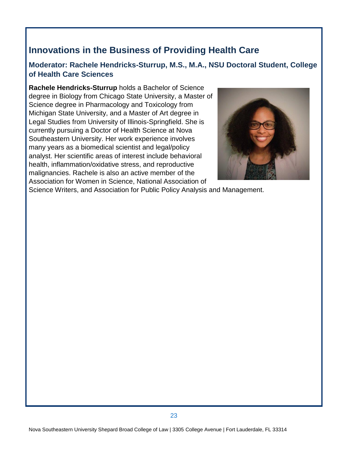# **Innovations in the Business of Providing Health Care**

#### **Moderator: Rachele Hendricks-Sturrup, M.S., M.A., NSU Doctoral Student, College of Health Care Sciences**

**Rachele Hendricks-Sturrup** holds a Bachelor of Science degree in Biology from Chicago State University, a Master of Science degree in Pharmacology and Toxicology from Michigan State University, and a Master of Art degree in Legal Studies from University of Illinois-Springfield. She is currently pursuing a Doctor of Health Science at Nova Southeastern University. Her work experience involves many years as a biomedical scientist and legal/policy analyst. Her scientific areas of interest include behavioral health, inflammation/oxidative stress, and reproductive malignancies. Rachele is also an active member of the Association for Women in Science, National Association of



Science Writers, and Association for Public Policy Analysis and Management.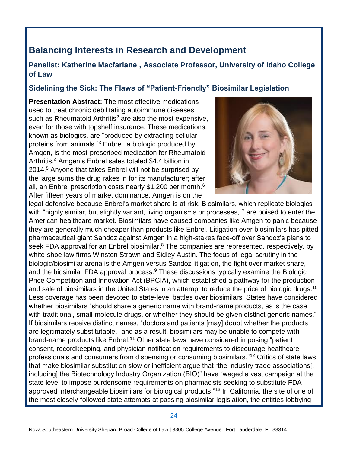# **Balancing Interests in Research and Development**

#### Panelist: Katherine Macfarlane<sup>1</sup>, Associate Professor, University of Idaho College **of Law**

#### **Sidelining the Sick: The Flaws of "Patient-Friendly" Biosimilar Legislation**

**Presentation Abstract:** The most effective medications used to treat chronic debilitating autoimmune diseases such as Rheumatoid Arthritis<sup>2</sup> are also the most expensive, even for those with topshelf insurance. These medications, known as biologics, are "produced by extracting cellular proteins from animals."<sup>3</sup> Enbrel, a biologic produced by Amgen, is the most-prescribed medication for Rheumatoid Arthritis.<sup>4</sup> Amgen's Enbrel sales totaled \$4.4 billion in 2014.<sup>5</sup> Anyone that takes Enbrel will not be surprised by the large sums the drug rakes in for its manufacturer; after all, an Enbrel prescription costs nearly \$1,200 per month.<sup>6</sup> After fifteen years of market dominance, Amgen is on the



legal defensive because Enbrel's market share is at risk. Biosimilars, which replicate biologics with "highly similar, but slightly variant, living organisms or processes,"<sup>7</sup> are poised to enter the American healthcare market. Biosimilars have caused companies like Amgen to panic because they are generally much cheaper than products like Enbrel. Litigation over biosimilars has pitted pharmaceutical giant Sandoz against Amgen in a high-stakes face-off over Sandoz's plans to seek FDA approval for an Enbrel biosimilar.<sup>8</sup> The companies are represented, respectively, by white-shoe law firms Winston Strawn and Sidley Austin. The focus of legal scrutiny in the biologic/biosimilar arena is the Amgen versus Sandoz litigation, the fight over market share, and the biosimilar FDA approval process.<sup>9</sup> These discussions typically examine the Biologic Price Competition and Innovation Act (BPCIA), which established a pathway for the production and sale of biosimilars in the United States in an attempt to reduce the price of biologic drugs.<sup>10</sup> Less coverage has been devoted to state-level battles over biosimilars. States have considered whether biosimilars "should share a generic name with brand-name products, as is the case with traditional, small-molecule drugs, or whether they should be given distinct generic names." If biosimilars receive distinct names, "doctors and patients [may] doubt whether the products are legitimately substitutable," and as a result, biosimilars may be unable to compete with brand-name products like Enbrel.<sup>11</sup> Other state laws have considered imposing "patient consent, recordkeeping, and physician notification requirements to discourage healthcare professionals and consumers from dispensing or consuming biosimilars."<sup>12</sup> Critics of state laws that make biosimilar substitution slow or inefficient argue that "the industry trade associations[, including] the Biotechnology Industry Organization (BIO)" have "waged a vast campaign at the state level to impose burdensome requirements on pharmacists seeking to substitute FDAapproved interchangeable biosimilars for biological products."<sup>13</sup> In California, the site of one of the most closely-followed state attempts at passing biosimilar legislation, the entities lobbying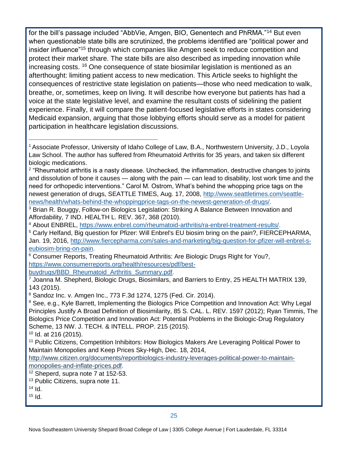for the bill's passage included "AbbVie, Amgen, BIO, Genentech and PhRMA."<sup>14</sup> But even when questionable state bills are scrutinized, the problems identified are "political power and insider influence"<sup>15</sup> through which companies like Amgen seek to reduce competition and protect their market share. The state bills are also described as impeding innovation while increasing costs. <sup>16</sup> One consequence of state biosimilar legislation is mentioned as an afterthought: limiting patient access to new medication. This Article seeks to highlight the consequences of restrictive state legislation on patients—those who need medication to walk, breathe, or, sometimes, keep on living. It will describe how everyone but patients has had a voice at the state legislative level, and examine the resultant costs of sidelining the patient experience. Finally, it will compare the patient-focused legislative efforts in states considering Medicaid expansion, arguing that those lobbying efforts should serve as a model for patient participation in healthcare legislation discussions.

<sup>2</sup> "Rheumatoid arthritis is a nasty disease. Unchecked, the inflammation, destructive changes to joints and dissolution of bone it causes — along with the pain — can lead to disability, lost work time and the need for orthopedic interventions." Carol M. Ostrom, What's behind the whopping price tags on the newest generation of drugs, SEATTLE TIMES, Aug. 17, 2008, [http://www.seattletimes.com/seattle](http://www.seattletimes.com/seattle-news/health/whats-behind-the-whoppingprice-tags-on-the-newest-generation-of-drugs/)[news/health/whats-behind-the-whoppingprice-tags-on-the-newest-generation-of-drugs/.](http://www.seattletimes.com/seattle-news/health/whats-behind-the-whoppingprice-tags-on-the-newest-generation-of-drugs/)

<sup>3</sup> Brian R. Bouggy, Follow-on Biologics Legislation: Striking A Balance Between Innovation and Affordability, 7 IND. HEALTH L. REV. 367, 368 (2010).

<sup>4</sup> About ENBREL, [https://www.enbrel.com/rheumatoid-arthritis/ra-enbrel-treatment-results/.](https://www.enbrel.com/rheumatoid-arthritis/ra-enbrel-treatment-results/)

<sup>5</sup> Carly Helfand, Big question for Pfizer: Will Enbrel's EU biosim bring on the pain?, FIERCEPHARMA, Jan. 19, 2016, [http://www.fiercepharma.com/sales-and-marketing/big-question-for-pfizer-will-enbrel-s](http://www.fiercepharma.com/sales-and-marketing/big-question-for-pfizer-will-enbrel-s-eubiosim-bring-on-pain)[eubiosim-bring-on-pain.](http://www.fiercepharma.com/sales-and-marketing/big-question-for-pfizer-will-enbrel-s-eubiosim-bring-on-pain)

<sup>6</sup> Consumer Reports, Treating Rheumatoid Arthritis: Are Biologic Drugs Right for You?, [https://www.consumerreports.org/health/resources/pdf/best](https://www.consumerreports.org/health/resources/pdf/best-buydrugs/BBD_Rheumatoid_Arthritis_Summary.pdf)buvdrugs/BBD\_Rheumatoid\_Arthritis\_Summary.pdf.

\_\_\_\_\_\_\_\_\_\_\_\_\_\_\_\_\_\_\_\_\_\_\_\_\_\_\_\_\_\_\_\_\_\_\_\_\_\_\_\_\_\_\_\_\_\_\_\_\_\_\_\_\_\_\_\_\_\_

 $^7$  Joanna M. Shepherd, Biologic Drugs, Biosimilars, and Barriers to Entry, 25 HEALTH MATRIX 139, 143 (2015).

<sup>8</sup> Sandoz Inc. v. Amgen Inc., 773 F.3d 1274, 1275 (Fed. Cir. 2014).

<sup>9</sup> See, e.g., Kyle Barrett, Implementing the Biologics Price Competition and Innovation Act: Why Legal Principles Justify A Broad Definition of Biosimilarity, 85 S. CAL. L. REV. 1597 (2012); Ryan Timmis, The Biologics Price Competition and Innovation Act: Potential Problems in the Biologic-Drug Regulatory Scheme, 13 NW. J. TECH. & INTELL. PROP. 215 (2015).

 $10$  Id. at 216 (2015).

<sup>11</sup> Public Citizens, Competition Inhibitors: How Biologics Makers Are Leveraging Political Power to Maintain Monopolies and Keep Prices Sky-High, Dec. 18, 2014,

[http://www.citizen.org/documents/reportbiologics-industry-leverages-political-power-to-maintain-](http://www.citizen.org/documents/reportbiologics-industry-leverages-political-power-to-maintain-monopolies-and-inflate-prices.pdf)

[monopolies-and-inflate-prices.pdf.](http://www.citizen.org/documents/reportbiologics-industry-leverages-political-power-to-maintain-monopolies-and-inflate-prices.pdf)

 $12$  Sheperd, supra note 7 at 152-53.

<sup>13</sup> Public Citizens, supra note 11.

 $14$  Id.

 $15$  Id.

<sup>1</sup>Associate Professor, University of Idaho College of Law, B.A., Northwestern University, J.D., Loyola Law School. The author has suffered from Rheumatoid Arthritis for 35 years, and taken six different biologic medications.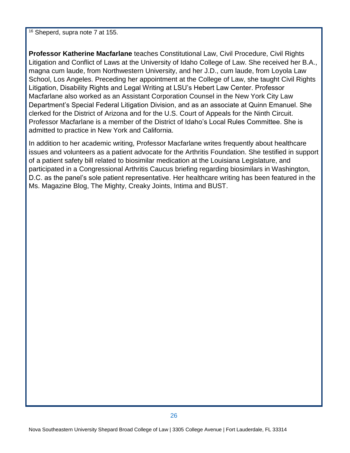$16$  Sheperd, supra note 7 at 155.

**Professor Katherine Macfarlane** teaches Constitutional Law, Civil Procedure, Civil Rights Litigation and Conflict of Laws at the University of Idaho College of Law. She received her B.A., magna cum laude, from Northwestern University, and her J.D., cum laude, from Loyola Law School, Los Angeles. Preceding her appointment at the College of Law, she taught Civil Rights Litigation, Disability Rights and Legal Writing at LSU's Hebert Law Center. Professor Macfarlane also worked as an Assistant Corporation Counsel in the New York City Law Department's Special Federal Litigation Division, and as an associate at Quinn Emanuel. She clerked for the District of Arizona and for the U.S. Court of Appeals for the Ninth Circuit. Professor Macfarlane is a member of the District of Idaho's Local Rules Committee. She is admitted to practice in New York and California.

In addition to her academic writing, Professor Macfarlane writes frequently about healthcare issues and volunteers as a patient advocate for the Arthritis Foundation. She testified in support of a patient safety bill related to biosimilar medication at the Louisiana Legislature, and participated in a Congressional Arthritis Caucus briefing regarding biosimilars in Washington, D.C. as the panel's sole patient representative. Her healthcare writing has been featured in the Ms. Magazine Blog, The Mighty, Creaky Joints, Intima and BUST.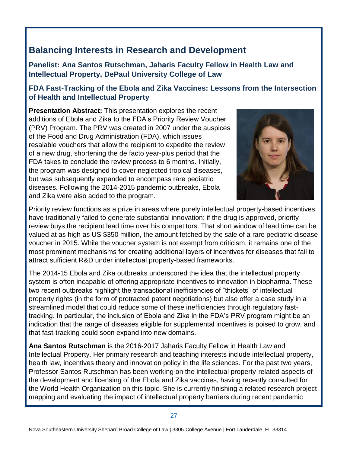# **Balancing Interests in Research and Development**

**Panelist: Ana Santos Rutschman, Jaharis Faculty Fellow in Health Law and Intellectual Property, DePaul University College of Law**

#### **FDA Fast-Tracking of the Ebola and Zika Vaccines: Lessons from the Intersection of Health and Intellectual Property**

**Presentation Abstract:** This presentation explores the recent additions of Ebola and Zika to the FDA's Priority Review Voucher (PRV) Program. The PRV was created in 2007 under the auspices of the Food and Drug Administration (FDA), which issues resalable vouchers that allow the recipient to expedite the review of a new drug, shortening the de facto year-plus period that the FDA takes to conclude the review process to 6 months. Initially, the program was designed to cover neglected tropical diseases, but was subsequently expanded to encompass rare pediatric diseases. Following the 2014-2015 pandemic outbreaks, Ebola and Zika were also added to the program.



Priority review functions as a prize in areas where purely intellectual property-based incentives have traditionally failed to generate substantial innovation: if the drug is approved, priority review buys the recipient lead time over his competitors. That short window of lead time can be valued at as high as US \$350 million, the amount fetched by the sale of a rare pediatric disease voucher in 2015. While the voucher system is not exempt from criticism, it remains one of the most prominent mechanisms for creating additional layers of incentives for diseases that fail to attract sufficient R&D under intellectual property-based frameworks.

The 2014-15 Ebola and Zika outbreaks underscored the idea that the intellectual property system is often incapable of offering appropriate incentives to innovation in biopharma. These two recent outbreaks highlight the transactional inefficiencies of "thickets" of intellectual property rights (in the form of protracted patent negotiations) but also offer a case study in a streamlined model that could reduce some of these inefficiencies through regulatory fasttracking. In particular, the inclusion of Ebola and Zika in the FDA's PRV program might be an indication that the range of diseases eligible for supplemental incentives is poised to grow, and that fast-tracking could soon expand into new domains.

**Ana Santos Rutschman** is the 2016-2017 Jaharis Faculty Fellow in Health Law and Intellectual Property. Her primary research and teaching interests include intellectual property, health law, incentives theory and innovation policy in the life sciences. For the past two years, Professor Santos Rutschman has been working on the intellectual property-related aspects of the development and licensing of the Ebola and Zika vaccines, having recently consulted for the World Health Organization on this topic. She is currently finishing a related research project mapping and evaluating the impact of intellectual property barriers during recent pandemic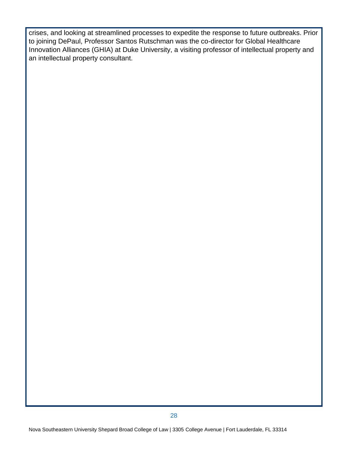crises, and looking at streamlined processes to expedite the response to future outbreaks. Prior to joining DePaul, Professor Santos Rutschman was the co-director for Global Healthcare Innovation Alliances (GHIA) at Duke University, a visiting professor of intellectual property and an intellectual property consultant.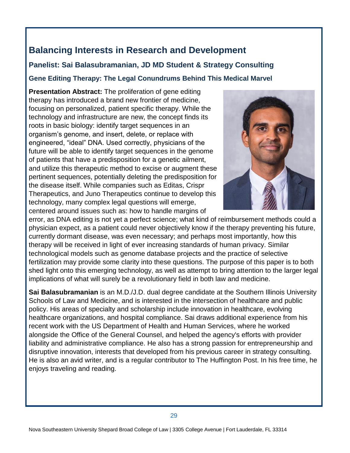## **Balancing Interests in Research and Development**

#### **Panelist: Sai Balasubramanian, JD MD Student & Strategy Consulting**

#### **Gene Editing Therapy: The Legal Conundrums Behind This Medical Marvel**

**Presentation Abstract:** The proliferation of gene editing therapy has introduced a brand new frontier of medicine, focusing on personalized, patient specific therapy. While the technology and infrastructure are new, the concept finds its roots in basic biology: identify target sequences in an organism's genome, and insert, delete, or replace with engineered, "ideal" DNA. Used correctly, physicians of the future will be able to identify target sequences in the genome of patients that have a predisposition for a genetic ailment, and utilize this therapeutic method to excise or augment these pertinent sequences, potentially deleting the predisposition for the disease itself. While companies such as Editas, Crispr Therapeutics, and Juno Therapeutics continue to develop this technology, many complex legal questions will emerge, centered around issues such as: how to handle margins of



error, as DNA editing is not yet a perfect science; what kind of reimbursement methods could a physician expect, as a patient could never objectively know if the therapy preventing his future, currently dormant disease, was even necessary; and perhaps most importantly, how this therapy will be received in light of ever increasing standards of human privacy. Similar technological models such as genome database projects and the practice of selective fertilization may provide some clarity into these questions. The purpose of this paper is to both shed light onto this emerging technology, as well as attempt to bring attention to the larger legal implications of what will surely be a revolutionary field in both law and medicine.

**Sai Balasubramanian** is an M.D./J.D. dual degree candidate at the Southern Illinois University Schools of Law and Medicine, and is interested in the intersection of healthcare and public policy. His areas of specialty and scholarship include innovation in healthcare, evolving healthcare organizations, and hospital compliance. Sai draws additional experience from his recent work with the US Department of Health and Human Services, where he worked alongside the Office of the General Counsel, and helped the agency's efforts with provider liability and administrative compliance. He also has a strong passion for entrepreneurship and disruptive innovation, interests that developed from his previous career in strategy consulting. He is also an avid writer, and is a regular contributor to The Huffington Post. In his free time, he enjoys traveling and reading.